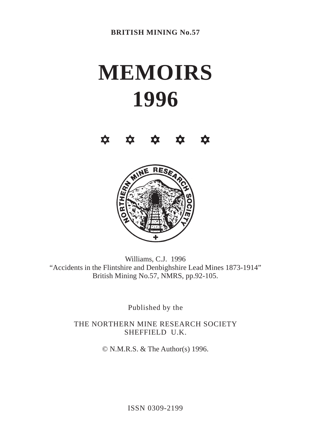# **MEMOIRS 1996**





Williams, C.J. 1996 "Accidents in the Flintshire and Denbighshire Lead Mines 1873-1914" British Mining No.57, NMRS, pp.92-105.

Published by the

THE NORTHERN MINE RESEARCH SOCIETY SHEFFIELD U.K.

© N.M.R.S. & The Author(s) 1996.

ISSN 0309-2199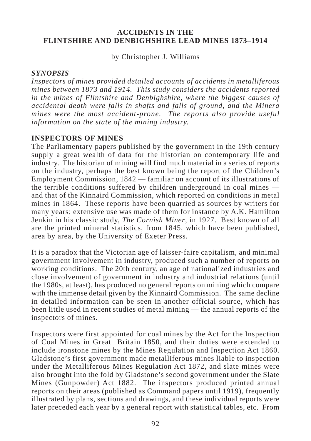by Christopher J. Williams

## *SYNOPSIS*

*Inspectors of mines provided detailed accounts of accidents in metalliferous mines between 1873 and 1914. This study considers the accidents reported in the mines of Flintshire and Denbighshire, where the biggest causes of accidental death were falls in shafts and falls of ground, and the Minera mines were the most accident-prone. The reports also provide useful information on the state of the mining industry.*

## **INSPECTORS OF MINES**

The Parliamentary papers published by the government in the 19th century supply a great wealth of data for the historian on contemporary life and industry. The historian of mining will find much material in a series of reports on the industry, perhaps the best known being the report of the Children's Employment Commission, 1842 — familiar on account of its illustrations of the terrible conditions suffered by children underground in coal mines and that of the Kinnaird Commission, which reported on conditions in metal mines in 1864. These reports have been quarried as sources by writers for many years; extensive use was made of them for instance by A.K. Hamilton Jenkin in his classic study, *The Cornish Miner*, in 1927. Best known of all are the printed mineral statistics, from 1845, which have been published, area by area, by the University of Exeter Press.

It is a paradox that the Victorian age of laisser-faire capitalism, and minimal government involvement in industry, produced such a number of reports on working conditions. The 20th century, an age of nationalized industries and close involvement of government in industry and industrial relations (until the 1980s, at least), has produced no general reports on mining which compare with the immense detail given by the Kinnaird Commission. The same decline in detailed information can be seen in another official source, which has been little used in recent studies of metal mining — the annual reports of the inspectors of mines.

Inspectors were first appointed for coal mines by the Act for the Inspection of Coal Mines in Great Britain 1850, and their duties were extended to include ironstone mines by the Mines Regulation and Inspection Act 1860. Gladstone's first government made metalliferous mines liable to inspection under the Metalliferous Mines Regulation Act 1872, and slate mines were also brought into the fold by Gladstone's second government under the Slate Mines (Gunpowder) Act 1882. The inspectors produced printed annual reports on their areas (published as Command papers until 1919), frequently illustrated by plans, sections and drawings, and these individual reports were later preceded each year by a general report with statistical tables, etc. From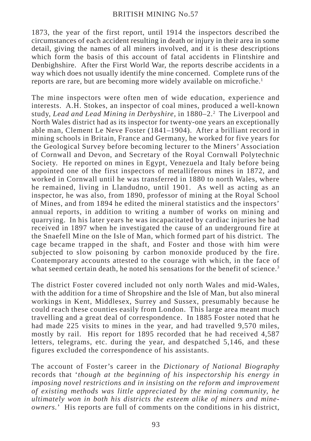1873, the year of the first report, until 1914 the inspectors described the circumstances of each accident resulting in death or injury in their area in some detail, giving the names of all miners involved, and it is these descriptions which form the basis of this account of fatal accidents in Flintshire and Denbighshire. After the First World War, the reports describe accidents in a way which does not usually identify the mine concerned. Complete runs of the reports are rare, but are becoming more widely available on microfiche.<sup>1</sup>

The mine inspectors were often men of wide education, experience and interests. A.H. Stokes, an inspector of coal mines, produced a well-known study, *Lead and Lead Mining in Derbyshire,* in 1880–2.<sup>2</sup> The Liverpool and North Wales district had as its inspector for twenty-one years an exceptionally able man, Clement Le Neve Foster (1841–1904). After a brilliant record in mining schools in Britain, France and Germany, he worked for five years for the Geological Survey before becoming lecturer to the Miners' Association of Cornwall and Devon, and Secretary of the Royal Cornwall Polytechnic Society. He reported on mines in Egypt, Venezuela and Italy before being appointed one of the first inspectors of metalliferous mines in 1872, and worked in Cornwall until he was transferred in 1880 to north Wales, where he remained, living in Llandudno, until 1901. As well as acting as an inspector, he was also, from 1890, professor of mining at the Royal School of Mines, and from 1894 he edited the mineral statistics and the inspectors' annual reports, in addition to writing a number of works on mining and quarrying. In his later years he was incapacitated by cardiac injuries he had received in 1897 when he investigated the cause of an underground fire at the Snaefell Mine on the Isle of Man, which formed part of his district. The cage became trapped in the shaft, and Foster and those with him were subjected to slow poisoning by carbon monoxide produced by the fire. Contemporary accounts attested to the courage with which, in the face of what seemed certain death, he noted his sensations for the benefit of science.<sup>3</sup>

The district Foster covered included not only north Wales and mid-Wales, with the addition for a time of Shropshire and the Isle of Man, but also mineral workings in Kent, Middlesex, Surrey and Sussex, presumably because he could reach these counties easily from London. This large area meant much travelling and a great deal of correspondence. In 1885 Foster noted that he had made 225 visits to mines in the year, and had travelled 9,570 miles, mostly by rail. His report for 1895 recorded that he had received 4,587 letters, telegrams, etc. during the year, and despatched 5,146, and these figures excluded the correspondence of his assistants.

The account of Foster's career in the *Dictionary of National Biography* records that '*though at the beginning of his inspectorship his energy in imposing novel restrictions and in insisting on the reform and improvement of existing methods was little appreciated by the mining community, he ultimately won in both his districts the esteem alike of miners and mineowners.*' His reports are full of comments on the conditions in his district,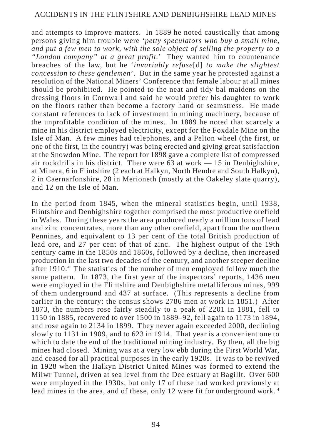and attempts to improve matters. In 1889 he noted caustically that among persons giving him trouble were '*petty speculators who buy a small mine, and put a few men to work, with the sole object of selling the property to a "London company" at a great profit.*' They wanted him to countenance breaches of the law, but he '*invariably refuse*[d] *to make the slightest concession to these gentlemen*'. But in the same year he protested against a resolution of the National Miners' Conference that female labour at all mines should be prohibited. He pointed to the neat and tidy bal maidens on the dressing floors in Cornwall and said he would prefer his daughter to work on the floors rather than become a factory hand or seamstress. He made constant references to lack of investment in mining machinery, because of the unprofitable condition of the mines. In 1889 he noted that scarcely a mine in his district employed electricity, except for the Foxdale Mine on the Isle of Man. A few mines had telephones, and a Pelton wheel (the first, or one of the first, in the country) was being erected and giving great satisfaction at the Snowdon Mine. The report for 1898 gave a complete list of compressed air rockdrills in his district. There were 63 at work — 15 in Denbighshire, at Minera, 6 in Flintshire (2 each at Halkyn, North Hendre and South Halkyn), 2 in Caernarfonshire, 28 in Merioneth (mostly at the Oakeley slate quarry), and 12 on the Isle of Man.

In the period from 1845, when the mineral statistics begin, until 1938, Flintshire and Denbighshire together comprised the most productive orefield in Wales. During these years the area produced nearly a million tons of lead and zinc concentrates, more than any other orefield, apart from the northern Pennines, and equivalent to 13 per cent of the total British production of lead ore, and 27 per cent of that of zinc. The highest output of the 19th century came in the 1850s and 1860s, followed by a decline, then increased production in the last two decades of the century, and another steeper decline after 1910.<sup>4</sup> The statistics of the number of men employed follow much the same pattern. In 1873, the first year of the inspectors' reports, 1436 men were employed in the Flintshire and Denbighshire metalliferous mines, 999 of them underground and 437 at surface. (This represents a decline from earlier in the century: the census shows 2786 men at work in 1851.) After 1873, the numbers rose fairly steadily to a peak of 2201 in 1881, fell to 1150 in 1885, recovered to over 1500 in 1889–92, fell again to 1173 in 1894, and rose again to 2134 in 1899. They never again exceeded 2000, declining slowly to 1131 in 1909, and to 623 in 1914. That year is a convenient one to which to date the end of the traditional mining industry. By then, all the big mines had closed. Mining was at a very low ebb during the First World War, and ceased for all practical purposes in the early 1920s. It was to be revived in 1928 when the Halkyn District United Mines was formed to extend the Milwr Tunnel, driven at sea level from the Dee estuary at Bagillt. Over 600 were employed in the 1930s, but only 17 of these had worked previously at lead mines in the area, and of these, only 12 were fit for underground work.<sup>4</sup>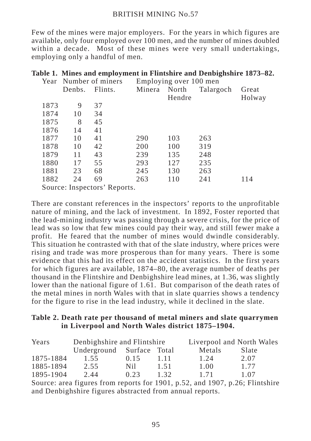Few of the mines were major employers. For the years in which figures are available, only four employed over 100 men, and the number of mines doubled within a decade. Most of these mines were very small undertakings, employing only a handful of men.

|  |  |  |  | Table 1. Mines and employment in Flintshire and Denbighshire 1873-82. |  |
|--|--|--|--|-----------------------------------------------------------------------|--|
|  |  |  |  |                                                                       |  |

|                              |        | Year Number of miners | Employing over 100 men |        |           |        |  |  |
|------------------------------|--------|-----------------------|------------------------|--------|-----------|--------|--|--|
|                              | Denbs. | Flints.               | Minera                 | North  | Talargoch | Great  |  |  |
|                              |        |                       |                        | Hendre |           | Holway |  |  |
| 1873                         | 9      | 37                    |                        |        |           |        |  |  |
| 1874                         | 10     | 34                    |                        |        |           |        |  |  |
| 1875                         | 8      | 45                    |                        |        |           |        |  |  |
| 1876                         | 14     | 41                    |                        |        |           |        |  |  |
| 1877                         | 10     | 41                    | 290                    | 103    | 263       |        |  |  |
| 1878                         | 10     | 42                    | 200                    | 100    | 319       |        |  |  |
| 1879                         | 11     | 43                    | 239                    | 135    | 248       |        |  |  |
| 1880                         | 17     | 55                    | 293                    | 127    | 235       |        |  |  |
| 1881                         | 23     | 68                    | 245                    | 130    | 263       |        |  |  |
| 1882                         | 24     | 69                    | 263                    | 110    | 241       | 114    |  |  |
| Source: Inspectors' Reports. |        |                       |                        |        |           |        |  |  |

There are constant references in the inspectors' reports to the unprofitable nature of mining, and the lack of investment. In 1892, Foster reported that the lead-mining industry was passing through a severe crisis, for the price of lead was so low that few mines could pay their way, and still fewer make a profit. He feared that the number of mines would dwindle considerably. This situation he contrasted with that of the slate industry, where prices were rising and trade was more prosperous than for many years. There is some evidence that this had its effect on the accident statistics. In the first years for which figures are available, 1874–80, the average number of deaths per thousand in the Flintshire and Denbighshire lead mines, at 1.36, was slightly lower than the national figure of 1.61. But comparison of the death rates of the metal mines in north Wales with that in slate quarries shows a tendency for the figure to rise in the lead industry, while it declined in the slate.

## **Table 2. Death rate per thousand of metal miners and slate quarrymen in Liverpool and North Wales district 1875–1904.**

| Years     | Denbighshire and Flintshire |      |      | Liverpool and North Wales |       |  |  |
|-----------|-----------------------------|------|------|---------------------------|-------|--|--|
|           | Underground Surface Total   |      |      | Metals                    | Slate |  |  |
| 1875-1884 | 1.55                        | 0.15 | 1.11 | 1.24                      | 2.07  |  |  |
| 1885-1894 | 2.55                        | Nil. | 1.51 | 1.00                      | 1.77  |  |  |
| 1895-1904 | 2.44                        | 0.23 | 1.32 | 1 7 1                     | 1.07  |  |  |

Source: area figures from reports for 1901, p.52, and 1907, p.26; Flintshire and Denbighshire figures abstracted from annual reports.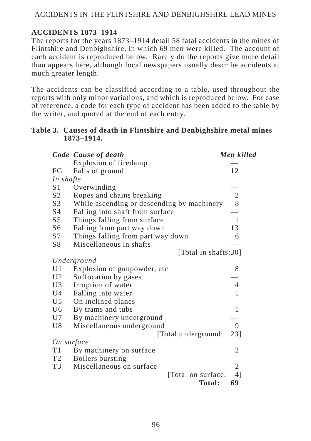## **ACCIDENTS 1873–1914**

The reports for the years 1873–1914 detail 58 fatal accidents in the mines of Flintshire and Denbighshire, in which 69 men were killed. The account of each accident is reproduced below. Rarely do the reports give more detail than appears here, although local newspapers usually describe accidents at much greater length.

The accidents can be classified according to a table, used throughout the reports with only minor variations, and which is reproduced below. For ease of reference, a code for each type of accident has been added to the table by the writer, and quoted at the end of each entry.

## **Table 3. Causes of death in Flintshire and Denbighshire metal mines 1873–1914.**

|                | Code Cause of death                        | Men killed     |
|----------------|--------------------------------------------|----------------|
|                | Explosion of firedamp                      |                |
| FG             | Falls of ground                            | 12             |
| In shafts      |                                            |                |
| S1             | Overwinding                                |                |
| S <sub>2</sub> | Ropes and chains breaking                  | $\mathfrak{2}$ |
| S3             | While ascending or descending by machinery | 8              |
| S4             | Falling into shaft from surface            |                |
| S <sub>5</sub> | Things falling from surface                | 1              |
| S6             | Falling from part way down                 | 13             |
| S7             | Things falling from part way down          | 6              |
| S8             | Miscellaneous in shafts                    |                |
|                | [Total in shafts:30]                       |                |
|                | Underground                                |                |
| U1             | Explosion of gunpowder, etc                | 8              |
| U2             | Suffocation by gases                       |                |
| U3             | Irruption of water                         | 4              |
| U4             | Falling into water                         | 1              |
| U <sub>5</sub> | On inclined planes                         |                |
| U <sub>6</sub> | By trams and tubs                          | 1              |
| U7             | By machinery underground                   |                |
| U8             | Miscellaneous underground                  | 9              |
|                | [Total underground:                        | 23]            |
|                | On surface                                 |                |
| T1             | By machinery on surface                    | 2              |
| T <sub>2</sub> | Boilers bursting                           |                |
| T3             | Miscellaneous on surface                   | 2              |
|                | [Total on surface:                         | 41             |
|                | <b>Total:</b>                              | 69             |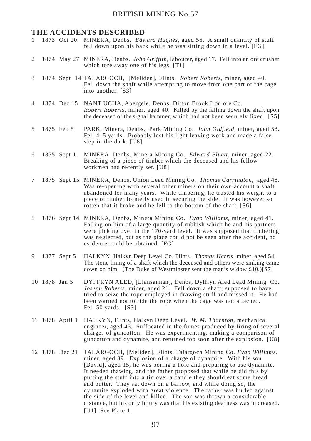#### **THE ACCIDENTS DESCRIBED**

- 1 1873 Oct 20 MINERA, Denbs. *Edward Hughes*, aged 56. A small quantity of stuff fell down upon his back while he was sitting down in a level. [FG]
- 2 1874 May 27 MINERA, Denbs. *John Griffith*, labourer, aged 17. Fell into an ore crusher which tore away one of his legs. [T1]
- 3 1874 Sept 14 TALARGOCH, [Meliden], Flints. *Robert Roberts*, miner, aged 40. Fell down the shaft while attempting to move from one part of the cage into another. [S3]
- 4 1874 Dec 15 NANT UCHA, Abergele, Denbs, Ditton Brook Iron ore Co. *Robert Roberts,* miner, aged 40. Killed by the falling down the shaft upon the deceased of the signal hammer, which had not been securely fixed. [S5]
- 5 1875 Feb 5 PARK, Minera, Denbs, Park Mining Co. *John Oldfield*, miner, aged 58. Fell 4–5 yards. Probably lost his light leaving work and made a false step in the dark. [U8]
- 6 1875 Sept 1 MINERA, Denbs, Minera Mining Co. *Edward Bluett*, miner, aged 22. Breaking of a piece of timber which the deceased and his fellow workmen had recently set. [U8]
- 7 1875 Sept 15 MINERA, Denbs, Union Lead Mining Co. *Thomas Carrington*, aged 48. Was re-opening with several other miners on their own account a shaft abandoned for many years. While timbering, he trusted his weight to a piece of timber formerly used in securing the side. It was however so rotten that it broke and he fell to the bottom of the shaft. [S6]
- 8 1876 Sept 14 MINERA, Denbs, Minera Mining Co. *Evan Williams*, miner, aged 41. Falling on him of a large quantity of rubbish which he and his partners were picking over in the 170-yard level. It was supposed that timbering was neglected, but as the place could not be seen after the accident, no evidence could be obtained. [FG]
- 9 1877 Sept 5 HALKYN, Halkyn Deep Level Co, Flints. *Thomas Harris*, miner, aged 54. The stone lining of a shaft which the deceased and others were sinking came down on him. (The Duke of Westminster sent the man's widow £10.)[S7]
- 10 1878 Jan 5 DYFFRYN ALED, [Llansannan], Denbs, Dyffryn Aled Lead Mining Co. *Joseph Roberts*, miner, aged 21. Fell down a shaft; supposed to have tried to seize the rope employed in drawing stuff and missed it. He had been warned not to ride the rope when the cage was not attached. Fell 50 yards. [S3]
- 11 1878 April 1 HALKYN, Flints, Halkyn Deep Level. *W. M. Thornton*, mechanical engineer, aged 45. Suffocated in the fumes produced by firing of several charges of guncotton. He was experimenting, making a comparison of guncotton and dynamite, and returned too soon after the explosion. [U8]
- 12 1878 Dec 21 TALARGOCH, [Meliden], Flints, Talargoch Mining Co. *Evan Williams*, miner, aged 39. Explosion of a charge of dynamite. With his son [David], aged 15, he was boring a hole and preparing to use dynamite. It needed thawing, and the father proposed that while he did this by putting the stuff into a tin over a candle they should eat some bread and butter. They sat down on a barrow, and while doing so, the dynamite exploded with great violence. The father was hurled against the side of the level and killed. The son was thrown a considerable distance, but his only injury was that his existing deafness was in creased. [U1] See Plate 1.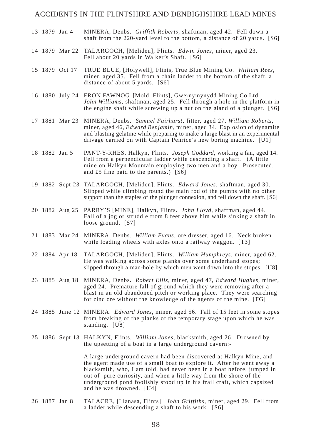- 13 1879 Jan 4 MINERA, Denbs. *Griffith Roberts,* shaftman, aged 42. Fell down a shaft from the 220-yard level to the bottom, a distance of 20 yards. [S6]
- 14 1879 Mar 22 TALARGOCH, [Meliden], Flints. *Edwin Jones*, miner, aged 23. Fell about 20 yards in Walker's Shaft. [S6]
- 15 1879 Oct 17 TRUE BLUE, [Holywell], Flints, True Blue Mining Co. *William Rees*, miner, aged 35. Fell from a chain ladder to the bottom of the shaft, a distance of about 5 yards. [S6]
- 16 1880 July 24 FRON FAWNOG, [Mold, Flints], Gwernymynydd Mining Co Ltd. *John Williams*, shaftman, aged 25. Fell through a hole in the platform in the engine shaft while screwing up a nut on the gland of a plunger. [S6]
- 17 1881 Mar 23 MINERA, Denbs. *Samuel Fairhurst*, fitter, aged 27, *William Roberts*, miner, aged 46, *Edward Benjamin*, miner, aged 34. Explosion of dynamite and blasting gelatine while preparing to make a large blast in an experimental drivage carried on with Captain Penrice's new boring machine. [U1]
- 18 1882 Jan 5 PANT-Y-RHES, Halkyn, Flints. *Joseph Goddard,* working a fan, aged 14. Fell from a perpendicular ladder while descending a shaft. (A little mine on Halkyn Mountain employing two men and a boy. Prosecuted, and £5 fine paid to the parents.) [S6]
- 19 1882 Sept 23 TALARGOCH, [Meliden], Flints. *Edward Jones*, shaftman, aged 30. Slipped while climbing round the main rod of the pumps with no other support than the staples of the plunger connexion, and fell down the shaft. [S6]
- 20 1882 Aug 25 PARRY'S [MINE], Halkyn, Flints. *John Lloyd*, shaftman, aged 44. Fall of a jog or struddle from 8 feet above him while sinking a shaft in loose ground. [S7]
- 21 1883 Mar 24 MINERA, Denbs. *William Evans*, ore dresser, aged 16. Neck broken while loading wheels with axles onto a railway waggon. [T3]
- 22 1884 Apr 18 TALARGOCH, [Meliden], Flints. *William Humphreys*, miner, aged 62. He was walking across some planks over some underhand stopes; slipped through a man-hole by which men went down into the stopes. [U8]
- 23 1885 Aug 18 MINERA, Denbs. *Robert Ellis*, miner, aged 47, *Edward Hughes*, miner, aged 24. Premature fall of ground which they were removing after a blast in an old abandoned pitch or working place. They were searching for zinc ore without the knowledge of the agents of the mine.  $[FG]$
- 24 1885 June 12 MINERA. *Edward Jones*, miner, aged 56. Fall of 15 feet in some stopes from breaking of the planks of the temporary stage upon which he was standing. [U8]
- 25 1886 Sept 13 HALKYN, Flints. *William Jones*, blacksmith, aged 26. Drowned by the upsetting of a boat in a large underground cavern:-

A large underground cavern had been discovered at Halkyn Mine, and the agent made use of a small boat to explore it. After he went away a blacksmith, who, I am told, had never been in a boat before, jumped in out of pure curiosity, and when a little way from the shore of the underground pond foolishly stood up in his frail craft, which capsized and he was drowned. [U4]

26 1887 Jan 8 TALACRE, [Llanasa, Flints]. *John Griffiths*, miner, aged 29. Fell from a ladder while descending a shaft to his work. [S6]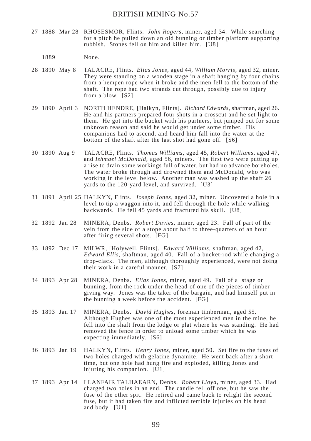- 27 1888 Mar 28 RHOSESMOR, Flints. *John Rogers*, miner, aged 34. While searching for a pitch he pulled down an old bunning or timber platform supporting rubbish. Stones fell on him and killed him. [U8]
	- 1889 None.
- 28 1890 May 8 TALACRE, Flints. *Elias Jones*, aged 44, *William Morris*, aged 32, miner. They were standing on a wooden stage in a shaft hanging by four chains from a hempen rope when it broke and the men fell to the bottom of the shaft. The rope had two strands cut through, possibly due to injury from a blow. [S2]
- 29 1890 April 3 NORTH HENDRE, [Halkyn, Flints]. *Richard Edwards*, shaftman, aged 26. He and his partners prepared four shots in a crosscut and he set light to them. He got into the bucket with his partners, but jumped out for some unknown reason and said he would get under some timber. His companions had to ascend, and heard him fall into the water at the bottom of the shaft after the last shot had gone off. [S6]
- 30 1890 Aug 9 TALACRE, Flints. *Thomas Williams*, aged 45, *Robert Williams*, aged 47, and *Ishmael McDonald*, aged 56, miners. The first two were putting up a rise to drain some workings full of water, but had no advance boreholes. The water broke through and drowned them and McDonald, who was working in the level below. Another man was washed up the shaft 26 yards to the 120-yard level, and survived. [U3]
- 31 1891 April 25 HALKYN, Flints. *Joseph Jones*, aged 32, miner. Uncovered a hole in a level to tip a waggon into it, and fell through the hole while walking backwards. He fell 45 yards and fractured his skull. [U8]
- 32 1892 Jan 28 MINERA, Denbs. *Robert Davies*, miner, aged 23. Fall of part of the vein from the side of a stope about half to three-quarters of an hour after firing several shots. [FG]
- 33 1892 Dec 17 MILWR, [Holywell, Flints]. *Edward Williams*, shaftman, aged 42, *Edward Ellis*, shaftman, aged 40. Fall of a bucket-rod while changing a drop-clack. The men, although thoroughly experienced, were not doing their work in a careful manner. [S7]
- 34 1893 Apr 28 MINERA, Denbs. *Elias Jones*, miner, aged 49. Fall of a stage or bunning, from the rock under the head of one of the pieces of timber giving way. Jones was the taker of the bargain, and had himself put in the bunning a week before the accident. [FG]
- 35 1893 Jan 17 MINERA, Denbs. *David Hughes*, foreman timberman, aged 55. Although Hughes was one of the most experienced men in the mine, he fell into the shaft from the lodge or plat where he was standing. He had removed the fence in order to unload some timber which he was expecting immediately. [S6]
- 36 1893 Jan 19 HALKYN, Flints. *Henry Jones*, miner, aged 50. Set fire to the fuses of two holes charged with gelatine dynamite. He went back after a short time, but one hole had hung fire and exploded, killing Jones and injuring his companion. [U1]
- 37 1893 Apr 14 LLANFAIR TALHAEARN, Denbs. *Robert Lloyd*, miner, aged 33. Had charged two holes in an end. The candle fell off one, but he saw the fuse of the other spit. He retired and came back to relight the second fuse, but it had taken fire and inflicted terrible injuries on his head and body. [U1]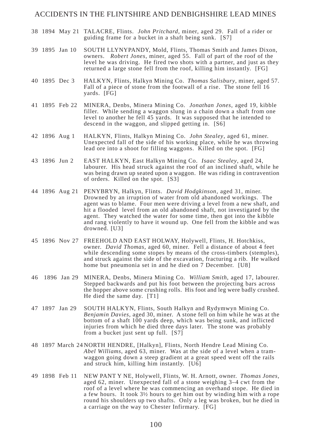- 38 1894 May 21 TALACRE, Flints. *John Pritchard*, miner, aged 29. Fall of a rider or guiding frame for a bucket in a shaft being sunk. [S7]
- 39 1895 Jan 10 SOUTH LLYNYPANDY, Mold, Flints, Thomas Smith and James Dixon, owners. *Robert Jones*, miner, aged 55. Fall of part of the roof of the level he was driving. He fired two shots with a partner, and just as they returned a large stone fell from the roof, killing him instantly. [FG]
- 40 1895 Dec 3 HALKYN, Flints, Halkyn Mining Co. *Thomas Salisbury*, miner, aged 57. Fall of a piece of stone from the footwall of a rise. The stone fell 16 yards. [FG]
- 41 1895 Feb 22 MINERA, Denbs, Minera Mining Co. *Jonathan Jones*, aged 19, kibble filler. While sending a waggon slung in a chain down a shaft from one level to another he fell 45 yards. It was supposed that he intended to descend in the waggon, and slipped getting in. [S6]
- 42 1896 Aug 1 HALKYN, Flints, Halkyn Mining Co. *John Stealey*, aged 61, miner. Unexpected fall of the side of his working place, while he was throwing lead ore into a shoot for filling waggons. Killed on the spot. [FG]
- 43 1896 Jun 2 EAST HALKYN, East Halkyn Mining Co. *Isaac Stealey*, aged 24, labourer. His head struck against the roof of an inclined shaft, while he was being drawn up seated upon a waggon. He was riding in contravention of orders. Killed on the spot. [S3]
- 44 1896 Aug 21 PENYBRYN, Halkyn, Flints. *David Hodgkinson*, aged 31, miner. Drowned by an irruption of water from old abandoned workings. The agent was to blame. Four men were driving a level from a new shaft, and hit a flooded level from an old abandoned shaft, not investigated by the agent. They watched the water for some time, then got into the kibble and rang violently to have it wound up. One fell from the kibble and was drowned. [U3]
- 45 1896 Nov 27 FREEHOLD AND EAST HOLWAY, Holywell, Flints, H. Hotchkiss, owner. *David Thomas*, aged 60, miner. Fell a distance of about 4 feet while descending some stopes by means of the cross-timbers (stemples), and struck against the side of the excavation, fracturing a rib. He walked home but pneumonia set in and he died on 7 December. [U8]
- 46 1896 Jan 29 MINERA, Denbs, Minera Mining Co. *William Smith*, aged 17, labourer. Stepped backwards and put his foot between the projecting bars across the hopper above some crushing rolls. His foot and leg were badly crushed. He died the same day. [T1]
- 47 1897 Jan 29 SOUTH HALKYN, Flints, South Halkyn and Rydymwyn Mining Co. *Benjamin Davies*, aged 30, miner. A stone fell on him while he was at the bottom of a shaft 100 yards deep, which was being sunk, and inflicted injuries from which he died three days later. The stone was probably from a bucket just sent up full. [S7]
- 48 1897 March 24 NORTH HENDRE, [Halkyn], Flints, North Hendre Lead Mining Co. *Abel Williams*, aged 63, miner. Was at the side of a level when a tramwaggon going down a steep gradient at a great speed went off the rails and struck him, killing him instantly. [U6]
- 49 1898 Feb 11 NEW PANT Y NE, Holywell, Flints, W. H. Arnott, owner. *Thomas Jones,* aged 62, miner. Unexpected fall of a stone weighing 3–4 cwt from the roof of a level where he was commencing an overhand stope. He died in a few hours. It took 3½ hours to get him out by winding him with a rope round his shoulders up two shafts. Only a leg was broken, but he died in a carriage on the way to Chester Infirmary. [FG]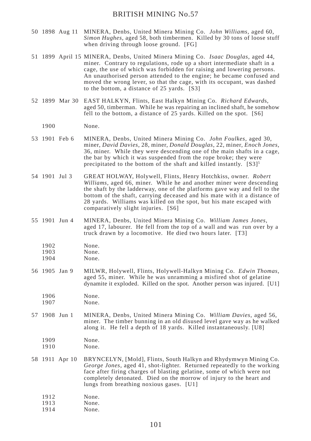- 50 1898 Aug 11 MINERA, Denbs, United Minera Mining Co. *John Williams*, aged 60, *Simon Hughes*, aged 58, both timbermen. Killed by 30 tons of loose stuff when driving through loose ground. [FG]
- 51 1899 April 15 MINERA, Denbs, United Minera Mining Co. *Isaac Douglas*, aged 44, miner. Contrary to regulations, rode up a short intermediate shaft in a cage, the use of which was forbidden for raising and lowering persons. An unauthorised person attended to the engine; he became confused and moved the wrong lever, so that the cage, with its occupant, was dashed to the bottom, a distance of 25 yards. [S3]
- 52 1899 Mar 30 EAST HALKYN, Flints, East Halkyn Mining Co. *Richard Edward*s, aged 50, timberman. While he was repairing an inclined shaft, he somehow fell to the bottom, a distance of 25 yards. Killed on the spot. [S6]
	- 1900 None.
- 53 1901 Feb 6 MINERA, Denbs, United Minera Mining Co. *John Foulkes,* aged 30*,* miner, *David Davies*, 28, miner, *Donald Douglas*, 22, miner, *Enoch Jones*, 36, miner. While they were descending one of the main shafts in a cage, the bar by which it was suspended from the rope broke; they were precipitated to the bottom of the shaft and killed instantly.  $[S3]^{5}$
- 54 1901 Jul 3 GREAT HOLWAY, Holywell, Flints, Henry Hotchkiss, owner. *Robert Williams*, aged 66, miner. While he and another miner were descending the shaft by the ladderway, one of the platforms gave way and fell to the bottom of the shaft, carrying deceased and his mate with it a distance of 28 yards. Williams was killed on the spot, but his mate escaped with comparatively slight injuries. [S6]
- 55 1901 Jun 4 MINERA, Denbs, United Minera Mining Co. *William James Jones*, aged 17, labourer. He fell from the top of a wall and was run over by a truck drawn by a locomotive. He died two hours later. [T3]
	- 1902 None.<br>1903 None.
	- $N$ one.
	- 1904 None.
- 56 1905 Jan 9 MILWR, Holywell, Flints, Holywell-Halkyn Mining Co. *Edwin Thomas*, aged 55, miner. While he was unramming a misfired shot of gelatine dynamite it exploded. Killed on the spot. Another person was injured. [U1]
	- 1906 None. 1907 None.
- 57 1908 Jun 1 MINERA, Denbs, United Minera Mining Co. *William Davies*, aged 56, miner. The timber bunning in an old disused level gave way as he walked along it. He fell a depth of 18 yards. Killed instantaneously. [U8]
	- 1909 None.<br>1910 None.

None.

58 1911 Apr 10 BRYNCELYN, [Mold], Flints, South Halkyn and Rhydymwyn Mining Co. *George Jones*, aged 41, shot-lighter. Returned repeatedly to the working face after firing charges of blasting gelatine, some of which were not completely detonated. Died on the morrow of injury to the heart and lungs from breathing noxious gases. [U1]

- 1913 None.
- 1914 None.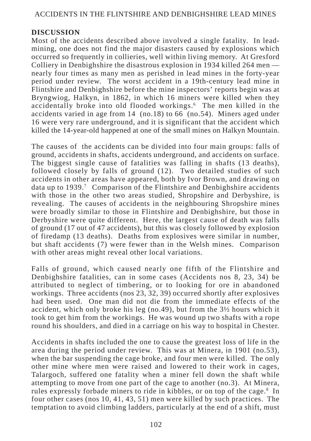## **DISCUSSION**

Most of the accidents described above involved a single fatality. In leadmining, one does not find the major disasters caused by explosions which occurred so frequently in collieries, well within living memory. At Gresford Colliery in Denbighshire the disastrous explosion in 1934 killed 264 men nearly four times as many men as perished in lead mines in the forty-year period under review. The worst accident in a 19th-century lead mine in Flintshire and Denbighshire before the mine inspectors' reports begin was at Bryngwiog, Halkyn, in 1862, in which 16 miners were killed when they accidentally broke into old flooded workings.<sup>6</sup> The men killed in the accidents varied in age from 14 (no.18) to 66 (no.54). Miners aged under 16 were very rare underground, and it is significant that the accident which killed the 14-year-old happened at one of the small mines on Halkyn Mountain.

The causes of the accidents can be divided into four main groups: falls of ground, accidents in shafts, accidents underground, and accidents on surface. The biggest single cause of fatalities was falling in shafts (13 deaths), followed closely by falls of ground (12). Two detailed studies of such accidents in other areas have appeared, both by Ivor Brown, and drawing on data up to 1939.<sup>7</sup> Comparison of the Flintshire and Denbighshire accidents with those in the other two areas studied, Shropshire and Derbyshire, is revealing. The causes of accidents in the neighbouring Shropshire mines were broadly similar to those in Flintshire and Denbighshire, but those in Derbyshire were quite different. Here, the largest cause of death was falls of ground (17 out of 47 accidents), but this was closely followed by explosion of firedamp (13 deaths). Deaths from explosives were similar in number, but shaft accidents (7) were fewer than in the Welsh mines. Comparison with other areas might reveal other local variations.

Falls of ground, which caused nearly one fifth of the Flintshire and Denbighshire fatalities, can in some cases (Accidents nos 8, 23, 34) be attributed to neglect of timbering, or to looking for ore in abandoned workings. Three accidents (nos 23, 32, 39) occurred shortly after explosives had been used. One man did not die from the immediate effects of the accident, which only broke his leg (no.49), but from the 3½ hours which it took to get him from the workings. He was wound up two shafts with a rope round his shoulders, and died in a carriage on his way to hospital in Chester.

Accidents in shafts included the one to cause the greatest loss of life in the area during the period under review. This was at Minera, in 1901 (no.53), when the bar suspending the cage broke, and four men were killed. The only other mine where men were raised and lowered to their work in cages, Talargoch, suffered one fatality when a miner fell down the shaft while attempting to move from one part of the cage to another (no.3). At Minera, rules expressly forbade miners to ride in kibbles, or on top of the cage.<sup>8</sup> In four other cases (nos 10, 41, 43, 51) men were killed by such practices. The temptation to avoid climbing ladders, particularly at the end of a shift, must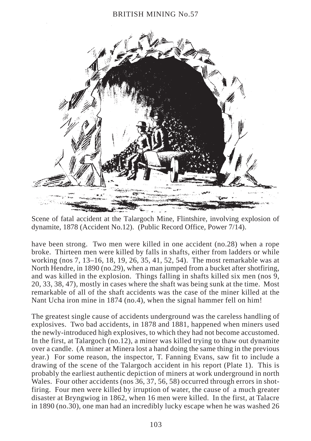

Scene of fatal accident at the Talargoch Mine, Flintshire, involving explosion of dynamite, 1878 (Accident No.12). (Public Record Office, Power 7/14).

have been strong. Two men were killed in one accident (no.28) when a rope broke. Thirteen men were killed by falls in shafts, either from ladders or while working (nos 7, 13–16, 18, 19, 26, 35, 41, 52, 54). The most remarkable was at North Hendre, in 1890 (no.29), when a man jumped from a bucket after shotfiring, and was killed in the explosion. Things falling in shafts killed six men (nos 9, 20, 33, 38, 47), mostly in cases where the shaft was being sunk at the time. Most remarkable of all of the shaft accidents was the case of the miner killed at the Nant Ucha iron mine in 1874 (no.4), when the signal hammer fell on him!

The greatest single cause of accidents underground was the careless handling of explosives. Two bad accidents, in 1878 and 1881, happened when miners used the newly-introduced high explosives, to which they had not become accustomed. In the first, at Talargoch (no.12), a miner was killed trying to thaw out dynamite over a candle. (A miner at Minera lost a hand doing the same thing in the previous year.) For some reason, the inspector, T. Fanning Evans, saw fit to include a drawing of the scene of the Talargoch accident in his report (Plate 1). This is probably the earliest authentic depiction of miners at work underground in north Wales. Four other accidents (nos 36, 37, 56, 58) occurred through errors in shotfiring. Four men were killed by irruption of water, the cause of a much greater disaster at Bryngwiog in 1862, when 16 men were killed. In the first, at Talacre in 1890 (no.30), one man had an incredibly lucky escape when he was washed 26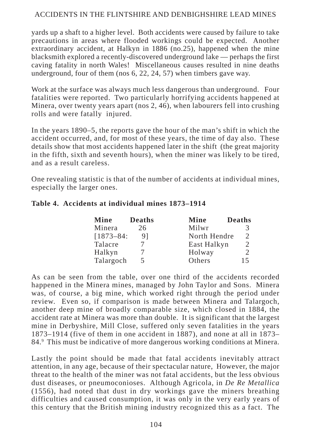yards up a shaft to a higher level. Both accidents were caused by failure to take precautions in areas where flooded workings could be expected. Another extraordinary accident, at Halkyn in 1886 (no.25), happened when the mine blacksmith explored a recently-discovered underground lake — perhaps the first caving fatality in north Wales! Miscellaneous causes resulted in nine deaths underground, four of them (nos 6, 22, 24, 57) when timbers gave way.

Work at the surface was always much less dangerous than underground. Four fatalities were reported. Two particularly horrifying accidents happened at Minera, over twenty years apart (nos 2, 46), when labourers fell into crushing rolls and were fatally injured.

In the years 1890–5, the reports gave the hour of the man's shift in which the accident occurred, and, for most of these years, the time of day also. These details show that most accidents happened later in the shift (the great majority in the fifth, sixth and seventh hours), when the miner was likely to be tired, and as a result careless.

One revealing statistic is that of the number of accidents at individual mines, especially the larger ones.

## **Table 4. Accidents at individual mines 1873–1914**

| Mine          | <b>Deaths</b> | Mine         | <b>Deaths</b>               |
|---------------|---------------|--------------|-----------------------------|
| Minera        | 26            | Milwr        | 3                           |
| $[1873 - 84:$ | 91            | North Hendre | $\mathcal{D}_{\mathcal{L}}$ |
| Talacre       |               | East Halkyn  | $\mathcal{D}_{\mathcal{L}}$ |
| Halkyn        |               | Holway       | $\mathcal{D}_{\mathcal{L}}$ |
| Talargoch     | 5             | Others       | 15                          |

As can be seen from the table, over one third of the accidents recorded happened in the Minera mines, managed by John Taylor and Sons. Minera was, of course, a big mine, which worked right through the period under review. Even so, if comparison is made between Minera and Talargoch, another deep mine of broadly comparable size, which closed in 1884, the accident rate at Minera was more than double. It is significant that the largest mine in Derbyshire, Mill Close, suffered only seven fatalities in the years 1873–1914 (five of them in one accident in 1887), and none at all in 1873– 84.9 This must be indicative of more dangerous working conditions at Minera.

Lastly the point should be made that fatal accidents inevitably attract attention, in any age, because of their spectacular nature, However, the major threat to the health of the miner was not fatal accidents, but the less obvious dust diseases, or pneumoconioses. Although Agricola, in *De Re Metallica* (1556), had noted that dust in dry workings gave the miners breathing difficulties and caused consumption, it was only in the very early years of this century that the British mining industry recognized this as a fact. The